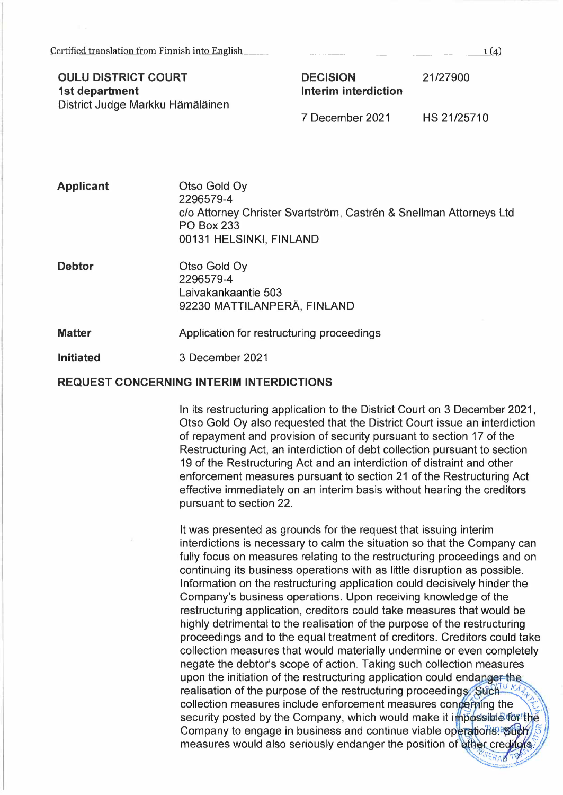## **OULU DISTRICT COURT 1st department**  District Judge Markku Hämäläinen

**DECISION lnterim interdiction** 

21/27900

7 December 2021 HS 21/25710

| <b>Applicant</b> | Otso Gold Oy<br>2296579-4<br>c/o Attorney Christer Svartström, Castrén & Snellman Attorneys Ltd<br><b>PO Box 233</b><br>00131 HELSINKI, FINLAND |
|------------------|-------------------------------------------------------------------------------------------------------------------------------------------------|
| <b>Debtor</b>    | Otso Gold Oy<br>2296579-4<br>Laivakankaantie 503<br>92230 MATTILANPERÄ, FINLAND                                                                 |

**Matter**  Application for restructuring proceedings

#### **lnitiated**  3 December 2021

#### **REQUEST CONCERNING INTERIM INTERDICTIONS**

ln its restructuring application to the District Court on 3 December 2021, Otso Gold Oy also requested that the District Court issue an interdiction of repayment and provision of security pursuant to section 17 of the Restructuring Act, an interdiction of debt collection pursuant to section 19 of the Restructuring Act and an interdiction of distraint and other enforcement measures pursuant to section 21 of the Restructuring Act effective immediately on an interim basis without hearing the creditors pursuant to section 22.

lt was presented as grounds for the request that issuing interim interdictions is necessary to calm the situation so that the Company can fully focus on measures relating to the restructuring proceedings and on continuing its business operations with as little disruption as possible. lnformation on the restructuring application could decisively hinder the Company's business operations. Upon receiving knowledge of the restructuring application, creditors could take measures that would be highly detrimental to the realisation of the purpose of the restructuring proceedings and to the equal treatment of creditors. Creditors could take collection measures that would materially undermine or even completely negate the debtor's scope of action. Taking such collection measures upon the initiation of the restructuring application could endanger the realisation of the purpose of the restructuring proceedings. Such UK<sub>1</sub> collection measures include enforcement measures concerning the<br>security posted by the Company, which would make it impossible for the \\ Company to engage in business and continue viable operations.<sup>3</sup> Such bompany to engage in business and commute viable operations. But a measures would also seriously endanger the position of other creditors. *~~~.~~ .. ,;far* 

 $1(a)$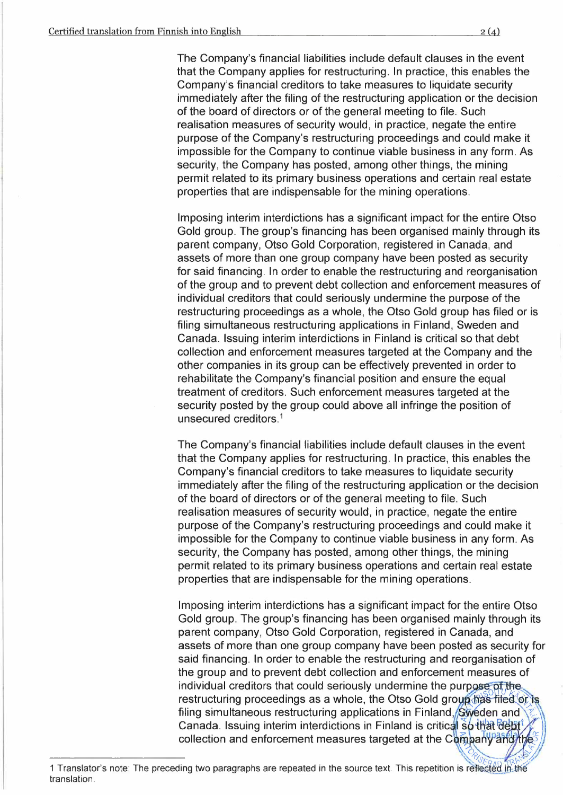The Company's financial liabilities include default clauses in the event that the Company applies for restructuring. ln practice, this enables the Company's financial creditors to take measures to liquidate security immediately after the filing of the restructuring application or the decision of the board of directors or of the general meeting to file. Such realisation measures of security would, in practice, negate the entire purpose of the Company's restructuring proceedings and could make it impossible for the Company to continue viable business in any form. As security, the Company has posted, among other things, the mining permit related to its primary business operations and certain real estate properties that are indispensable for the mining operations.

lmposing interim interdictions has a significant impact for the entire Otso Gold group. The group's financing has been organised mainly through its parent company, Otso Gold Corporation, registered in Canada, and assets of more than one group company have been posted as security for said financing. ln order to enable the restructuring and reorganisation of the group and to prevent debt collection and enforcement measures of individual creditors that could seriously undermine the purpose of the restructuring proceedings as a whole, the Otso Gold group has filed or is filing simultaneous restructuring applications in Finland, Sweden and Canada. lssuing interim interdictions in Finland is critical so that debt collection and enforcement measures targeted at the Company and the other companies in its group can be effectively prevented in order to rehabilitate the Company's financial position and ensure the equal treatment of creditors. Such enforcement measures targeted at the security posted by the group could above all infringe the position of unsecured creditors. 1

The Company's financial liabilities include default clauses in the event that the Company applies for restructuring. ln practice, this enables the Company's financial creditors to take measures to liquidate security immediately after the filing of the restructuring application or the decision of the board of directors or of the general meeting to file. Such realisation measures of security would, in practice, negate the entire purpose of the Company's restructuring proceedings and could make it impossible for the Company to continue viable business in any form. As security, the Company has posted, among other things, the mining permit related to its primary business operations and certain real estate properties that are indispensable for the mining operations.

lmposing interim interdictions has a significant impact for the entire Otso Gold group. The group's financing has been organised mainly through its parent company, Otso Gold Corporation, registered in Canada, and assets of more than one group company have been posted as security for assets of more than one group company have been posted as security to<br>said financing. In order to enable the restructuring and reorganisation of<br>the group and to prevent debt collection and enforcement measures of<br>individu the group and to prevent debt collection and enforcement measures of restructuring and reorganisation of<br>the group and to prevent debt collection and enforcement measures of<br>individual creditors that could seriously undermine the purpose of the<br>restructuring proceedings as a whole, the Otso Canada. Issuing interim interdictions in Finland is critical so that debt collection and enforcement measures targeted at the Company and the

<sup>1</sup> Translator's note: The preceding two paragraphs are repeated in the source text. This repetition is reflected in the translation.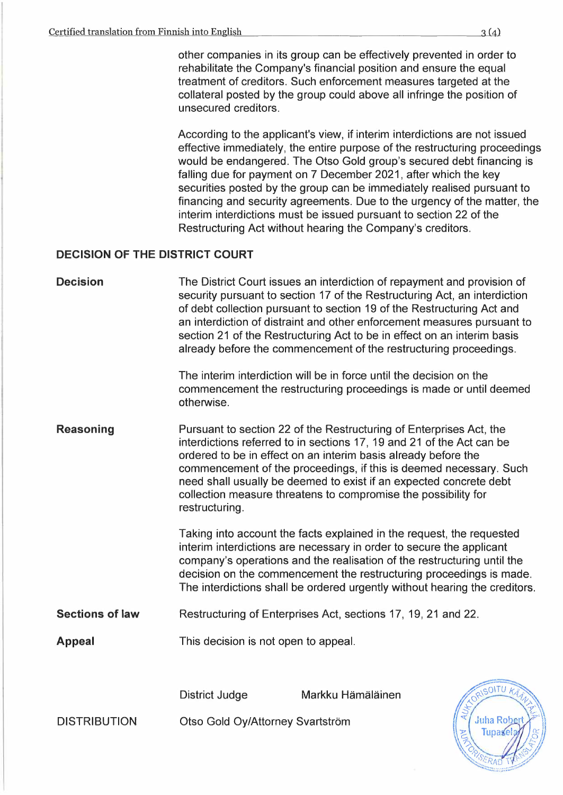other companies in its group can be effectively prevented in order to rehabilitate the Company's financial position and ensure the equal treatment of creditors. Such enforcement measures targeted at the collateral posted by the group could above all infringe the position of unsecured creditors.

According to the applicant's view, if interim interdictions are not issued effective immediately, the entire purpose of the restructuring proceedings would be endangered. The Otso Gold group's secured debt financing is falling due for payment on 7 December 2021, after which the key securities posted by the group can be immediately realised pursuant to financing and security agreements. Due to the urgency of the matter, the interim interdictions must be issued pursuant to section 22 of the Restructuring Act without hearing the Company's creditors.

# **DECISION OF THE DISTRICT COURT**

| <b>Decision</b>        | otherwise.                                                                                                                                                                                                                                                                                                                                                                                                                                     | The District Court issues an interdiction of repayment and provision of<br>security pursuant to section 17 of the Restructuring Act, an interdiction<br>of debt collection pursuant to section 19 of the Restructuring Act and<br>an interdiction of distraint and other enforcement measures pursuant to<br>section 21 of the Restructuring Act to be in effect on an interim basis<br>already before the commencement of the restructuring proceedings.<br>The interim interdiction will be in force until the decision on the<br>commencement the restructuring proceedings is made or until deemed |                |  |
|------------------------|------------------------------------------------------------------------------------------------------------------------------------------------------------------------------------------------------------------------------------------------------------------------------------------------------------------------------------------------------------------------------------------------------------------------------------------------|--------------------------------------------------------------------------------------------------------------------------------------------------------------------------------------------------------------------------------------------------------------------------------------------------------------------------------------------------------------------------------------------------------------------------------------------------------------------------------------------------------------------------------------------------------------------------------------------------------|----------------|--|
| <b>Reasoning</b>       | Pursuant to section 22 of the Restructuring of Enterprises Act, the<br>interdictions referred to in sections 17, 19 and 21 of the Act can be<br>ordered to be in effect on an interim basis already before the<br>commencement of the proceedings, if this is deemed necessary. Such<br>need shall usually be deemed to exist if an expected concrete debt<br>collection measure threatens to compromise the possibility for<br>restructuring. |                                                                                                                                                                                                                                                                                                                                                                                                                                                                                                                                                                                                        |                |  |
|                        | Taking into account the facts explained in the request, the requested<br>interim interdictions are necessary in order to secure the applicant<br>company's operations and the realisation of the restructuring until the<br>decision on the commencement the restructuring proceedings is made.<br>The interdictions shall be ordered urgently without hearing the creditors.                                                                  |                                                                                                                                                                                                                                                                                                                                                                                                                                                                                                                                                                                                        |                |  |
| <b>Sections of law</b> | Restructuring of Enterprises Act, sections 17, 19, 21 and 22.                                                                                                                                                                                                                                                                                                                                                                                  |                                                                                                                                                                                                                                                                                                                                                                                                                                                                                                                                                                                                        |                |  |
| <b>Appeal</b>          | This decision is not open to appeal.                                                                                                                                                                                                                                                                                                                                                                                                           |                                                                                                                                                                                                                                                                                                                                                                                                                                                                                                                                                                                                        |                |  |
|                        | <b>District Judge</b>                                                                                                                                                                                                                                                                                                                                                                                                                          | Markku Hämäläinen                                                                                                                                                                                                                                                                                                                                                                                                                                                                                                                                                                                      | RISOITU KA     |  |
| <b>DISTRIBUTION</b>    | Otso Gold Oy/Attorney Svartström                                                                                                                                                                                                                                                                                                                                                                                                               |                                                                                                                                                                                                                                                                                                                                                                                                                                                                                                                                                                                                        | <b>Juha Ro</b> |  |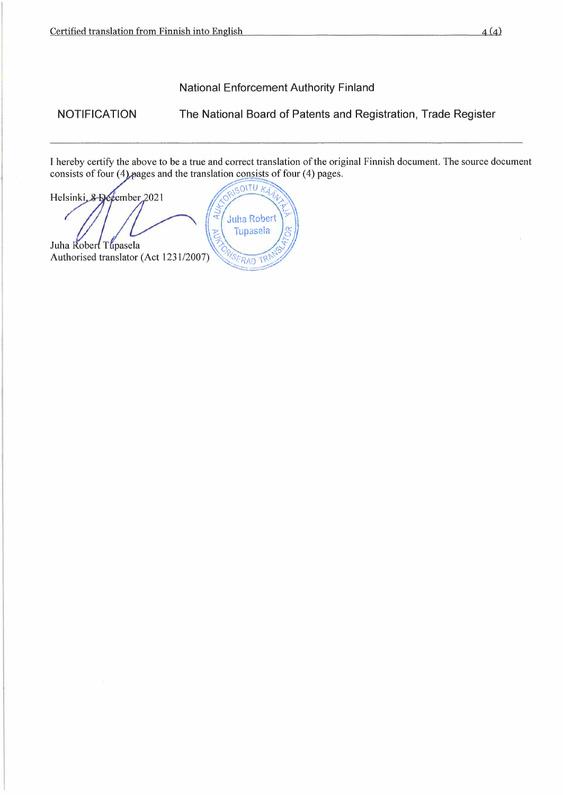National Enforcement Authority Finland

NOTIFICATION

The National Board of Patents and Registration, Trade Register

I hereby certify the above to be a true and correct translation of the original Finnish document. The source document consists of four (4) pages and the translation consists of four (4) pages.

SOITU KA Helsinki, & December 2021 **Juha Robert** Tupasela Juha Robert Tupasela Authorised translator (Act 1231/2007) **SERAD TR**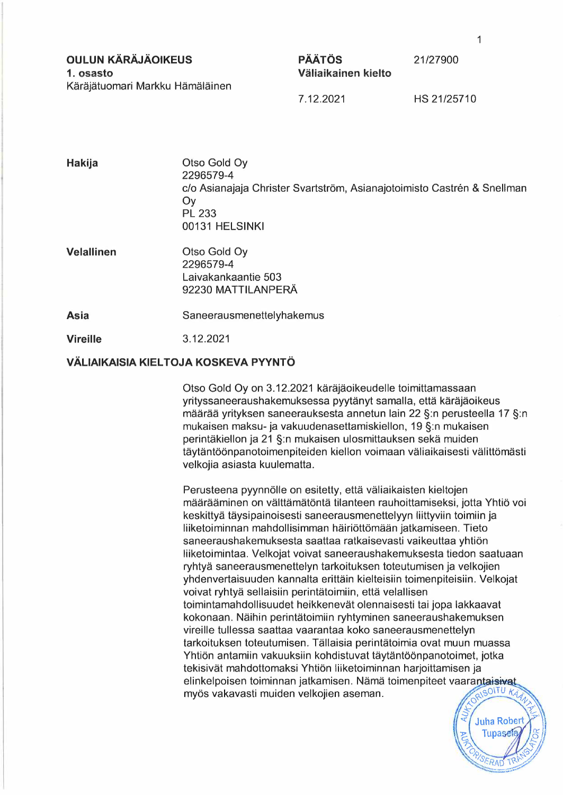**OULUN KÄRÄJÄOIKEUS 1. osasto**  Käräjätuomari Markku Hämäläinen

## **PÄÄTÖS Väliaikainen kielto**

7.12.2021 HS 21/25710

21/27900

| Hakija                                      | Otso Gold Oy<br>2296579-4<br>c/o Asianajaja Christer Svartström, Asianajotoimisto Castrén & Snellman<br>Oy<br><b>PL 233</b><br>00131 HELSINKI |  |  |
|---------------------------------------------|-----------------------------------------------------------------------------------------------------------------------------------------------|--|--|
| <b>Velallinen</b>                           | Otso Gold Oy<br>2296579-4<br>Laivakankaantie 503<br>92230 MATTILANPERÄ                                                                        |  |  |
| Asia                                        | Saneerausmenettelyhakemus                                                                                                                     |  |  |
| <b>Vireille</b>                             | 3.12.2021                                                                                                                                     |  |  |
| <b>VÄLIAIKAISIA KIELTOJA KOSKEVA PYYNTÖ</b> |                                                                                                                                               |  |  |

Otso Gold Oy on 3.12.2021 käräjäoikeudelle toimittamassaan yrityssaneeraushakemuksessa pyytänyt samalla, että käräjäoikeus määrää yrityksen saneerauksesta annetun lain 22 §:n perusteella 17 §:n mukaisen maksu- ja vakuudenasettamiskiellon, 19 §:n mukaisen perintäkiellon ja 21 §:n mukaisen ulosmittauksen sekä muiden täytäntöönpanotoimenpiteiden kiellon voimaan väliaikaisesti välittömästi velkojia asiasta kuulematta.

Perusteena pyynnölle on esitetty, että väliaikaisten kieltojen määrääminen on välttämätöntä tilanteen rauhoittamiseksi, jotta Yhtiö voi keskittyä täysipainoisesti saneerausmenettelyyn liittyviin toimiin ja liiketoiminnan mahdollisimman häiriöttömään jatkamiseen. Tieto saneeraushakemuksesta saattaa ratkaisevasti vaikeuttaa yhtiön liiketoimintaa. Velkojat voivat saneeraushakemuksesta tiedon saatuaan ryhtyä saneerausmenettelyn tarkoituksen toteutumisen ja velkojien yhdenvertaisuuden kannalta erittäin kielteisiin toimenpiteisiin. Velkojat voivat ryhtyä sellaisiin perintätoimiin, että velallisen toimintamahdollisuudet heikkenevät olennaisesti tai jopa lakkaavat kokonaan. Näihin perintätoimiin ryhtyminen saneeraushakemuksen vireille tullessa saattaa vaarantaa koko saneerausmenettelyn tarkoituksen toteutumisen. Tällaisia perintätoimia ovat muun muassa Yhtiön antamiin vakuuksiin kohdistuvat täytäntöönpanotoimet, jotka tekisivät mahdottomaksi Yhtiön liiketoiminnan harjoittamisen ja elinkelpoisen toiminnan jatkamisen. Nämä toimenpiteet vaarantaisivat<br>myös vakavasti muiden valkojien aseman myös vakavasti muiden velkojien aseman.

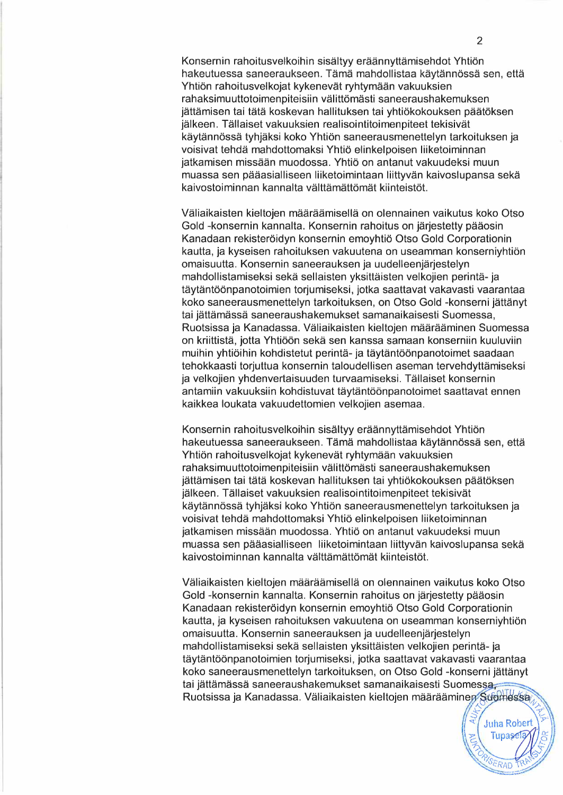Konsernin rahoitusvelkoihin sisältyy eräännyttämisehdot Yhtiön hakeutuessa saneeraukseen. Tämä mahdollistaa käytännössä sen, että Yhtiön rahoitusvelkojat kykenevät ryhtymään vakuuksien rahaksimuuttotoimenpiteisiin välittömästi saneeraushakemuksen jättämisen tai tätä koskevan hallituksen tai yhtiökokouksen päätöksen jälkeen. Tällaiset vakuuksien realisointitoimenpiteet tekisivät käytännössä tyhjäksi koko Yhtiön saneerausmenettelyn tarkoituksen ja voisivat tehdä mahdottomaksi Yhtiö elinkelpoisen liiketoiminnan jatkamisen missään muodossa. Yhtiö on antanut vakuudeksi muun muassa sen pääasialliseen liiketoimintaan liittyvän kaivoslupansa sekä kaivostoiminnan kannalta välttämättömät kiinteistöt.

Väliaikaisten kieltojen määräämisellä on olennainen vaikutus koko Otso Gold -konsernin kannalta. Konsernin rahoitus on järjestetty pääosin Kanadaan rekisteröidyn konsernin emoyhtiö Otso Gold Corporationin kautta, ja kyseisen rahoituksen vakuutena on useamman konserniyhtiön omaisuutta. Konsernin saneerauksen ja uudelleenjärjestelyn mahdollistamiseksi sekä sellaisten yksittäisten velkojien perintä- ja täytäntöönpanotoimien torjumiseksi, jotka saattavat vakavasti vaarantaa koko saneerausmenettelyn tarkoituksen, on Otso Gold -konserni jättänyt tai jättämässä saneeraushakemukset samanaikaisesti Suomessa, Ruotsissa ja Kanadassa. Väliaikaisten kieltojen määrääminen Suomessa on kriittistä, jotta Yhtiöön sekä sen kanssa samaan konserniin kuuluviin muihin yhtiöihin kohdistetut perintä- ja täytäntöönpanotoimet saadaan tehokkaasti torjuttua konsernin taloudellisen aseman tervehdyttämiseksi ja velkojien yhdenvertaisuuden turvaamiseksi. Tällaiset konsernin antamiin vakuuksiin kohdistuvat täytäntöönpanotoimet saattavat ennen kaikkea loukata vakuudettomien velkojien asemaa.

Konsernin rahoitusvelkoihin sisältyy eräännyttämisehdot Yhtiön hakeutuessa saneeraukseen. Tämä mahdollistaa käytännössä sen, että Yhtiön rahoitusvelkojat kykenevät ryhtymään vakuuksien rahaksimuuttotoimenpiteisiin välittömästi saneeraushakemuksen jättämisen tai tätä koskevan hallituksen tai yhtiökokouksen päätöksen jälkeen. Tällaiset vakuuksien realisointitoimenpiteet tekisivät käytännössä tyhjäksi koko Yhtiön saneerausmenettelyn tarkoituksen ja voisivat tehdä mahdottomaksi Yhtiö elinkelpoisen liiketoiminnan jatkamisen missään muodossa. Yhtiö on antanut vakuudeksi muun muassa sen pääasialliseen liiketoimintaan liittyvän kaivoslupansa sekä kaivostoiminnan kannalta välttämättömät kiinteistöt.

Väliaikaisten kieltojen määräämisellä on olennainen vaikutus koko Otso Gold -konsernin kannalta. Konsernin rahoitus on järjestetty pääosin Kanadaan rekisteröidyn konsernin emoyhtiö Otso Gold Corporationin kautta, ja kyseisen rahoituksen vakuutena on useamman konserniyhtiön omaisuutta. Konsernin saneerauksen ja uudelleenjärjestelyn mahdollistamiseksi sekä sellaisten yksittäisten velkojien perintä- ja täytäntöönpanotoimien torjumiseksi, jotka saattavat vakavasti vaarantaa koko saneerausmenettelyn tarkoituksen, on Otso Gold -konserni jättänyt mahdollistamiseksi sekä sellaisten yksittäisten velkojien perintä- ja<br>täytäntöönpanotoimien torjumiseksi, jotka saattavat vakavasti vaarantaa<br>koko saneerausmenettelyn tarkoituksen, on Otso Gold -konserni jättänyt<br>tai jättä koko saneerausmenettelyn tarkoituksen, on Otso Gold -konserni jättänyt<br>tai jättämässä saneeraushakemukset samanaikaisesti Suomessa,<br>Ruotsissa ja Kanadassa. Väliaikaisten kieltojen määrääminen Suomessa, 1,114 Marchinessa<br>
1,5 Suidmessa<br>
1,5 Juha Robert<br>
1,5 Tupasesa<br>
1,5 Tupasesa<br>
1,5 Tupasesa<br>
1,5 Tupasesa<br>
1,5 Tupasesa<br>
1,5 Tupasesa<br>
1,5 Tupasesa<br>
1,5 Tupasesa<br>
1,5 Tupasesa<br>
1,5 Tupasesa<br>
1,5 Tupasesa<br>
1,5 Tupasesa<br>
1,5

Juha Robert Juha Robert

SERAD TRANS

**PRIM**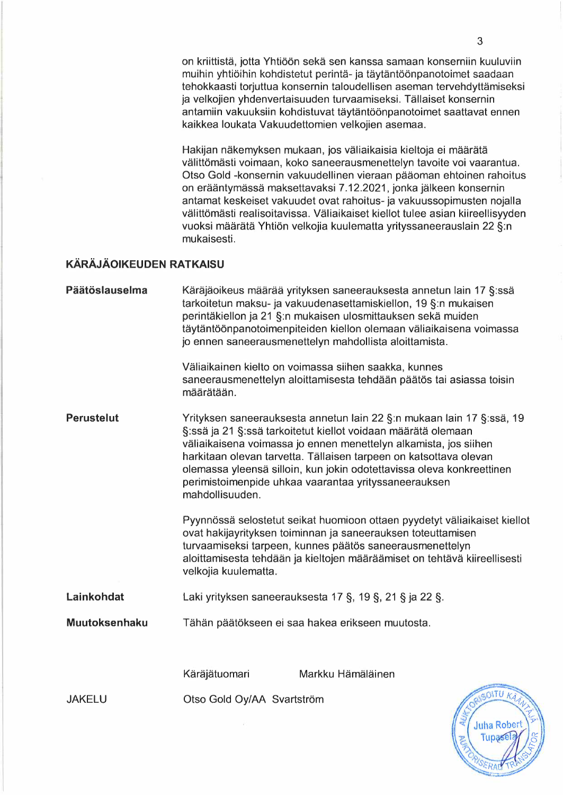on kriittistä, jotta Yhtiöön sekä sen kanssa samaan konserniin kuuluviin muihin yhtiöihin kohdistetut perintä- ja täytäntöönpanotoimet saadaan tehokkaasti torjuttua konsernin taloudellisen aseman tervehdyttämiseksi ja velkojien yhdenvertaisuuden turvaamiseksi. Tällaiset konsernin antamiin vakuuksiin kohdistuvat täytäntöönpanotoimet saattavat ennen kaikkea loukata Vakuudettomien velkojien asemaa.

Hakijan näkemyksen mukaan, jos väliaikaisia kieltoja ei määrätä välittömästi voimaan, koko saneerausmenettelyn tavoite voi vaarantua. Otso Gold -konsernin vakuudellinen vieraan pääoman ehtoinen rahoitus on erääntymässä maksettavaksi 7.12.2021, jonka jälkeen konsernin antamat keskeiset vakuudet ovat rahoitus- ja vakuussopimusten nojalla välittömästi realisoitavissa. Väliaikaiset kiellot tulee asian kiireellisyyden vuoksi määrätä Yhtiön velkojia kuulematta yrityssaneerauslain 22 §:n mukaisesti.

#### **KÄRÄJÄOIKEUDEN RATKAISU**

| Päätöslauselma    | määrätään.                                                                                                                                                                                                                                                                                                                                                                                                                          | Käräjäoikeus määrää yrityksen saneerauksesta annetun lain 17 §:ssä<br>tarkoitetun maksu- ja vakuudenasettamiskiellon, 19 §:n mukaisen<br>perintäkiellon ja 21 §:n mukaisen ulosmittauksen sekä muiden<br>täytäntöönpanotoimenpiteiden kiellon olemaan väliaikaisena voimassa<br>jo ennen saneerausmenettelyn mahdollista aloittamista.<br>Väliaikainen kielto on voimassa siihen saakka, kunnes<br>saneerausmenettelyn aloittamisesta tehdään päätös tai asiassa toisin |  |
|-------------------|-------------------------------------------------------------------------------------------------------------------------------------------------------------------------------------------------------------------------------------------------------------------------------------------------------------------------------------------------------------------------------------------------------------------------------------|-------------------------------------------------------------------------------------------------------------------------------------------------------------------------------------------------------------------------------------------------------------------------------------------------------------------------------------------------------------------------------------------------------------------------------------------------------------------------|--|
| <b>Perustelut</b> | Yrityksen saneerauksesta annetun lain 22 §:n mukaan lain 17 §:ssä, 19<br>§:ssä ja 21 §:ssä tarkoitetut kiellot voidaan määrätä olemaan<br>väliaikaisena voimassa jo ennen menettelyn alkamista, jos siihen<br>harkitaan olevan tarvetta. Tällaisen tarpeen on katsottava olevan<br>olemassa yleensä silloin, kun jokin odotettavissa oleva konkreettinen<br>perimistoimenpide uhkaa vaarantaa yrityssaneerauksen<br>mahdollisuuden. |                                                                                                                                                                                                                                                                                                                                                                                                                                                                         |  |
|                   | velkojia kuulematta.                                                                                                                                                                                                                                                                                                                                                                                                                | Pyynnössä selostetut seikat huomioon ottaen pyydetyt väliaikaiset kiellot<br>ovat hakijayrityksen toiminnan ja saneerauksen toteuttamisen<br>turvaamiseksi tarpeen, kunnes päätös saneerausmenettelyn<br>aloittamisesta tehdään ja kieltojen määräämiset on tehtävä kiireellisesti                                                                                                                                                                                      |  |
| Lainkohdat        | Laki yrityksen saneerauksesta 17 §, 19 §, 21 § ja 22 §.                                                                                                                                                                                                                                                                                                                                                                             |                                                                                                                                                                                                                                                                                                                                                                                                                                                                         |  |
| Muutoksenhaku     | Tähän päätökseen ei saa hakea erikseen muutosta.                                                                                                                                                                                                                                                                                                                                                                                    |                                                                                                                                                                                                                                                                                                                                                                                                                                                                         |  |
|                   |                                                                                                                                                                                                                                                                                                                                                                                                                                     |                                                                                                                                                                                                                                                                                                                                                                                                                                                                         |  |
|                   | Käräjätuomari                                                                                                                                                                                                                                                                                                                                                                                                                       | Markku Hämäläinen                                                                                                                                                                                                                                                                                                                                                                                                                                                       |  |
| <b>JAKELU</b>     | ORISOITU KAJ<br>Otso Gold Oy/AA Svartström                                                                                                                                                                                                                                                                                                                                                                                          |                                                                                                                                                                                                                                                                                                                                                                                                                                                                         |  |

**Juha Rober** Tupase